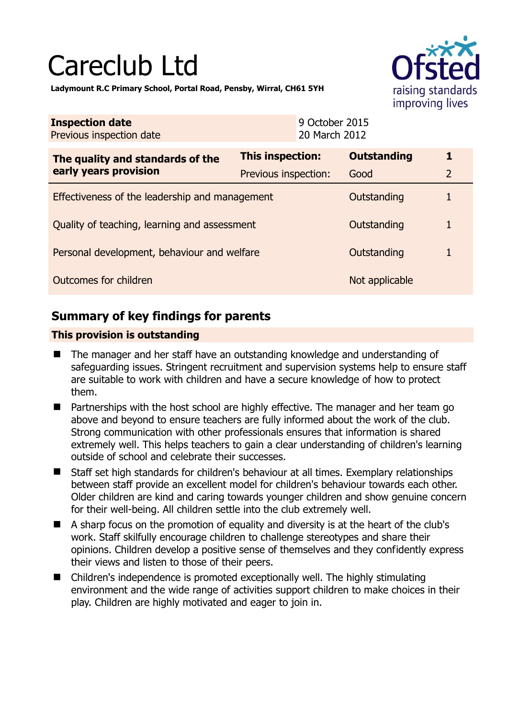# Careclub Ltd



**Ladymount R.C Primary School, Portal Road, Pensby, Wirral, CH61 5YH** 

| <b>Inspection date</b><br>Previous inspection date        |                         | 9 October 2015<br>20 March 2012 |                    |                |
|-----------------------------------------------------------|-------------------------|---------------------------------|--------------------|----------------|
| The quality and standards of the<br>early years provision | <b>This inspection:</b> |                                 | <b>Outstanding</b> | 1              |
|                                                           | Previous inspection:    |                                 | Good               | $\overline{2}$ |
| Effectiveness of the leadership and management            |                         |                                 | Outstanding        | 1              |
| Quality of teaching, learning and assessment              |                         |                                 | Outstanding        | 1              |
| Personal development, behaviour and welfare               |                         |                                 | Outstanding        | 1              |
| Outcomes for children                                     |                         |                                 | Not applicable     |                |

# **Summary of key findings for parents**

## **This provision is outstanding**

- The manager and her staff have an outstanding knowledge and understanding of safeguarding issues. Stringent recruitment and supervision systems help to ensure staff are suitable to work with children and have a secure knowledge of how to protect them.
- Partnerships with the host school are highly effective. The manager and her team go above and beyond to ensure teachers are fully informed about the work of the club. Strong communication with other professionals ensures that information is shared extremely well. This helps teachers to gain a clear understanding of children's learning outside of school and celebrate their successes.
- Staff set high standards for children's behaviour at all times. Exemplary relationships between staff provide an excellent model for children's behaviour towards each other. Older children are kind and caring towards younger children and show genuine concern for their well-being. All children settle into the club extremely well.
- A sharp focus on the promotion of equality and diversity is at the heart of the club's work. Staff skilfully encourage children to challenge stereotypes and share their opinions. Children develop a positive sense of themselves and they confidently express their views and listen to those of their peers.
- Children's independence is promoted exceptionally well. The highly stimulating environment and the wide range of activities support children to make choices in their play. Children are highly motivated and eager to join in.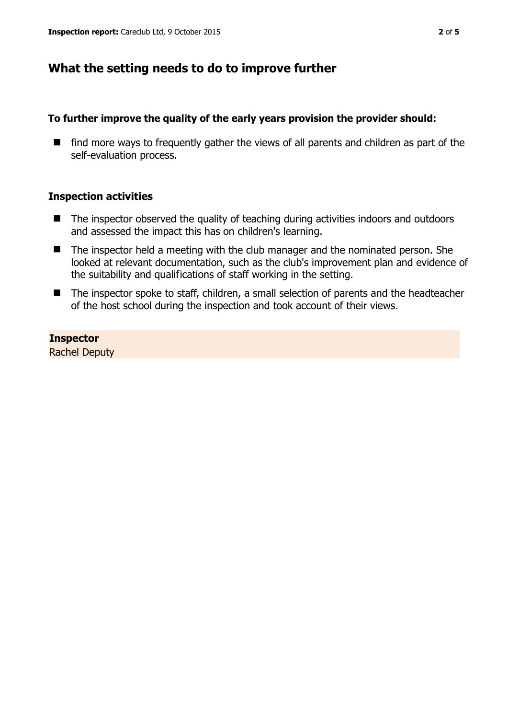# **What the setting needs to do to improve further**

### **To further improve the quality of the early years provision the provider should:**

 $\blacksquare$  find more ways to frequently gather the views of all parents and children as part of the self-evaluation process.

#### **Inspection activities**

- The inspector observed the quality of teaching during activities indoors and outdoors and assessed the impact this has on children's learning.
- The inspector held a meeting with the club manager and the nominated person. She looked at relevant documentation, such as the club's improvement plan and evidence of the suitability and qualifications of staff working in the setting.
- The inspector spoke to staff, children, a small selection of parents and the headteacher of the host school during the inspection and took account of their views.

## **Inspector**

Rachel Deputy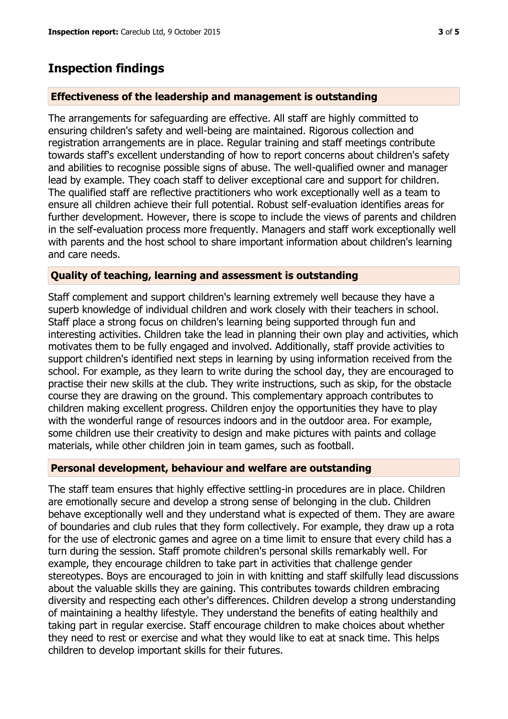## **Inspection findings**

#### **Effectiveness of the leadership and management is outstanding**

The arrangements for safeguarding are effective. All staff are highly committed to ensuring children's safety and well-being are maintained. Rigorous collection and registration arrangements are in place. Regular training and staff meetings contribute towards staff's excellent understanding of how to report concerns about children's safety and abilities to recognise possible signs of abuse. The well-qualified owner and manager lead by example. They coach staff to deliver exceptional care and support for children. The qualified staff are reflective practitioners who work exceptionally well as a team to ensure all children achieve their full potential. Robust self-evaluation identifies areas for further development. However, there is scope to include the views of parents and children in the self-evaluation process more frequently. Managers and staff work exceptionally well with parents and the host school to share important information about children's learning and care needs.

#### **Quality of teaching, learning and assessment is outstanding**

Staff complement and support children's learning extremely well because they have a superb knowledge of individual children and work closely with their teachers in school. Staff place a strong focus on children's learning being supported through fun and interesting activities. Children take the lead in planning their own play and activities, which motivates them to be fully engaged and involved. Additionally, staff provide activities to support children's identified next steps in learning by using information received from the school. For example, as they learn to write during the school day, they are encouraged to practise their new skills at the club. They write instructions, such as skip, for the obstacle course they are drawing on the ground. This complementary approach contributes to children making excellent progress. Children enjoy the opportunities they have to play with the wonderful range of resources indoors and in the outdoor area. For example, some children use their creativity to design and make pictures with paints and collage materials, while other children join in team games, such as football.

#### **Personal development, behaviour and welfare are outstanding**

The staff team ensures that highly effective settling-in procedures are in place. Children are emotionally secure and develop a strong sense of belonging in the club. Children behave exceptionally well and they understand what is expected of them. They are aware of boundaries and club rules that they form collectively. For example, they draw up a rota for the use of electronic games and agree on a time limit to ensure that every child has a turn during the session. Staff promote children's personal skills remarkably well. For example, they encourage children to take part in activities that challenge gender stereotypes. Boys are encouraged to join in with knitting and staff skilfully lead discussions about the valuable skills they are gaining. This contributes towards children embracing diversity and respecting each other's differences. Children develop a strong understanding of maintaining a healthy lifestyle. They understand the benefits of eating healthily and taking part in regular exercise. Staff encourage children to make choices about whether they need to rest or exercise and what they would like to eat at snack time. This helps children to develop important skills for their futures.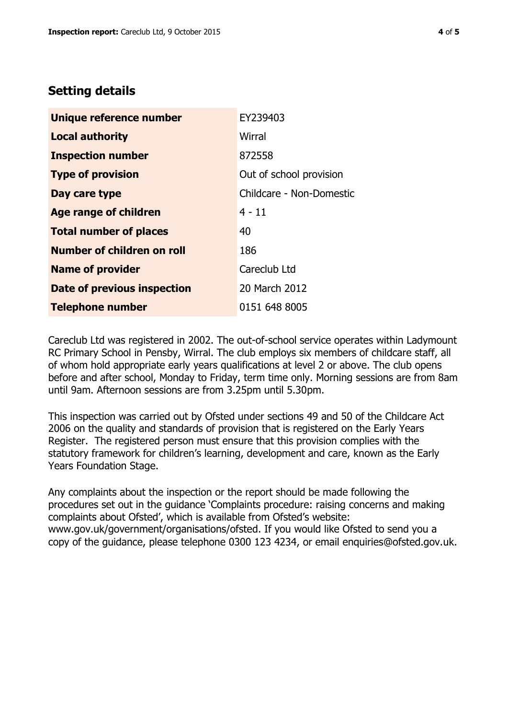## **Setting details**

| Unique reference number       | EY239403                 |  |  |
|-------------------------------|--------------------------|--|--|
| <b>Local authority</b>        | Wirral                   |  |  |
| <b>Inspection number</b>      | 872558                   |  |  |
| <b>Type of provision</b>      | Out of school provision  |  |  |
| Day care type                 | Childcare - Non-Domestic |  |  |
| <b>Age range of children</b>  | $4 - 11$                 |  |  |
| <b>Total number of places</b> | 40                       |  |  |
| Number of children on roll    | 186                      |  |  |
| <b>Name of provider</b>       | Careclub Ltd             |  |  |
| Date of previous inspection   | 20 March 2012            |  |  |
| <b>Telephone number</b>       | 0151 648 8005            |  |  |

Careclub Ltd was registered in 2002. The out-of-school service operates within Ladymount RC Primary School in Pensby, Wirral. The club employs six members of childcare staff, all of whom hold appropriate early years qualifications at level 2 or above. The club opens before and after school, Monday to Friday, term time only. Morning sessions are from 8am until 9am. Afternoon sessions are from 3.25pm until 5.30pm.

This inspection was carried out by Ofsted under sections 49 and 50 of the Childcare Act 2006 on the quality and standards of provision that is registered on the Early Years Register. The registered person must ensure that this provision complies with the statutory framework for children's learning, development and care, known as the Early Years Foundation Stage.

Any complaints about the inspection or the report should be made following the procedures set out in the guidance 'Complaints procedure: raising concerns and making complaints about Ofsted', which is available from Ofsted's website: www.gov.uk/government/organisations/ofsted. If you would like Ofsted to send you a copy of the guidance, please telephone 0300 123 4234, or email enquiries@ofsted.gov.uk.